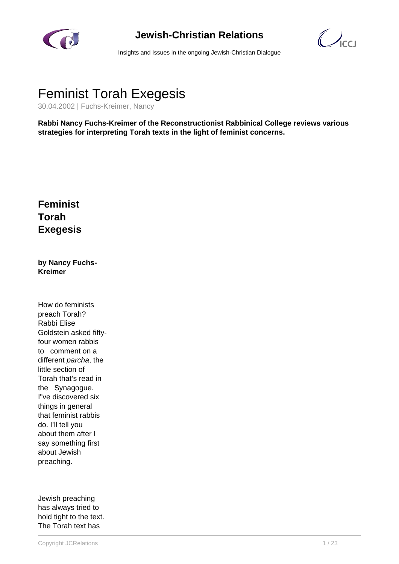

## **Jewish-Christian Relations**

 $\bigcirc$ 

Insights and Issues in the ongoing Jewish-Christian Dialogue

## Feminist Torah Exegesis

30.04.2002 | Fuchs-Kreimer, Nancy

**Rabbi Nancy Fuchs-Kreimer of the Reconstructionist Rabbinical College reviews various strategies for interpreting Torah texts in the light of feminist concerns.**

## **Feminist Torah Exegesis**

**by Nancy Fuchs-Kreimer**

How do feminists preach Torah? Rabbi Elise Goldstein asked fiftyfour women rabbis to comment on a different parcha, the little section of Torah that's read in the Synagogue. I"ve discovered six things in general that feminist rabbis do. I'll tell you about them after I say something first about Jewish preaching.

Jewish preaching has always tried to hold tight to the text. The Torah text has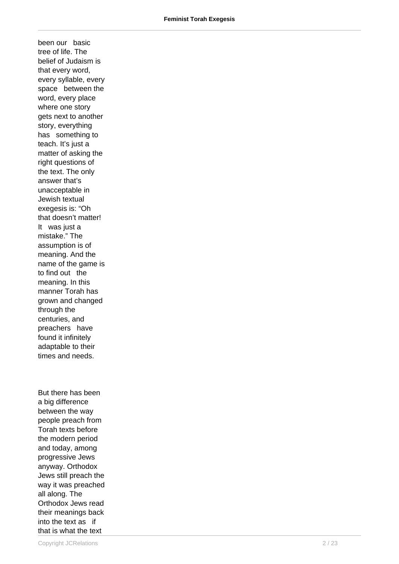been our basic tree of life. The belief of Judaism is that every word, every syllable, every space between the word, every place where one story gets next to another story, everything has something to teach. It's just a matter of asking the right questions of the text. The only answer that's unacceptable in Jewish textual exegesis is: "Oh that doesn't matter! It was just a mistake." The assumption is of meaning. And the name of the game is to find out the meaning. In this manner Torah has grown and changed through the centuries, and preachers have found it infinitely adaptable to their times and needs.

But there has been a big difference between the way people preach from Torah texts before the modern period and today, among progressive Jews anyway. Orthodox Jews still preach the way it was preached all along. The Orthodox Jews read their meanings back into the text as if that is what the text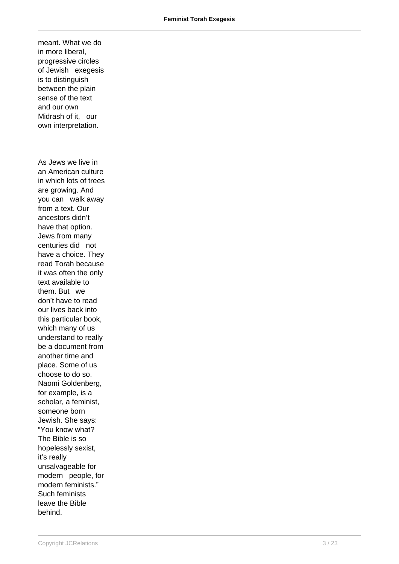meant. What we do in more liberal, progressive circles of Jewish exegesis is to distinguish between the plain sense of the text and our own Midrash of it, our own interpretation. As Jews we live in an American culture in which lots of trees are growing. And you can walk away from a text. Our ancestors didn't have that option. Jews from many centuries did not have a choice. They read Torah because it was often the only text available to them. But we don't have to read our lives back into this particular book, which many of us understand to really be a document from another time and place. Some of us choose to do so. Naomi Goldenberg, for example, is a scholar, a feminist, someone born Jewish. She says: "You know what? The Bible is so hopelessly sexist, it's really unsalvageable for modern people, for modern feminists." Such feminists leave the Bible behind.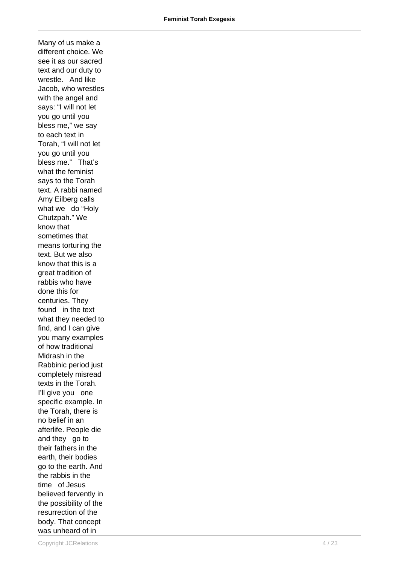Many of us make a different choice. We see it as our sacred text and our duty to wrestle. And like Jacob, who wrestles with the angel and says: "I will not let you go until you bless me," we say to each text in Torah, "I will not let you go until you bless me." That's what the feminist says to the Torah text. A rabbi named Amy Eilberg calls what we do "Holy Chutzpah." We know that sometimes that means torturing the text. But we also know that this is a great tradition of rabbis who have done this for centuries. They found in the text what they needed to find, and I can give you many examples of how traditional Midrash in the Rabbinic period just completely misread texts in the Torah. I'll give you one specific example. In the Torah, there is no belief in an afterlife. People die and they go to their fathers in the earth, their bodies go to the earth. And the rabbis in the time of Jesus believed fervently in the possibility of the resurrection of the body. That concept was unheard of in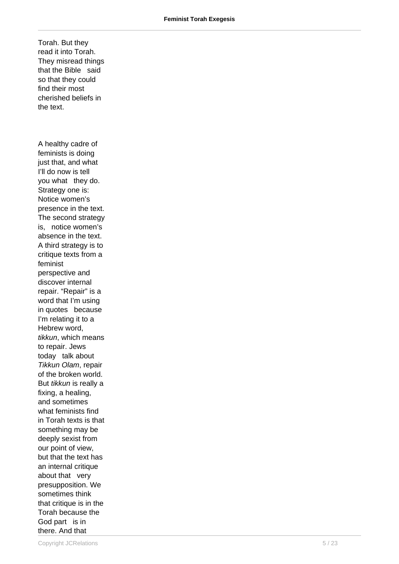Torah. But they read it into Torah. They misread things that the Bible said so that they could find their most cherished beliefs in the text. A healthy cadre of feminists is doing just that, and what I'll do now is tell you what they do. Strategy one is:

Notice women's presence in the text. The second strategy is, notice women's absence in the text. A third strategy is to critique texts from a feminist perspective and discover internal repair. "Repair" is a word that I'm using in quotes because I'm relating it to a Hebrew word, tikkun, which means to repair. Jews today talk about Tikkun Olam, repair of the broken world. But tikkun is really a fixing, a healing, and sometimes what feminists find in Torah texts is that something may be deeply sexist from our point of view, but that the text has an internal critique about that very presupposition. We sometimes think that critique is in the Torah because the God part is in there. And that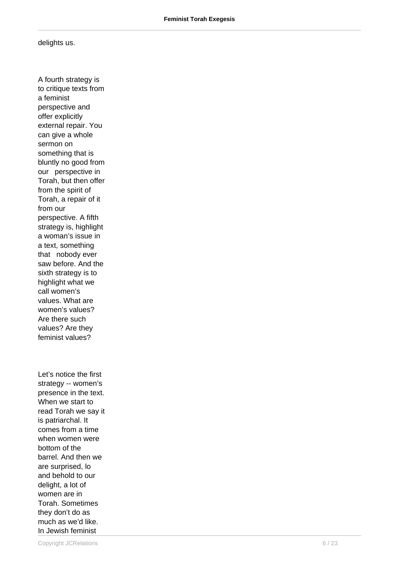delights us.

A fourth strategy is to critique texts from a feminist perspective and offer explicitly external repair. You can give a whole sermon on something that is bluntly no good from our perspective in Torah, but then offer from the spirit of Torah, a repair of it from our perspective. A fifth strategy is, highlight a woman's issue in a text, something that nobody ever saw before. And the sixth strategy is to highlight what we call women's values. What are women's values? Are there such values? Are they feminist values? Let's notice the first strategy -- women's presence in the text. read Torah we say it

When we start to is patriarchal. It comes from a time when women were bottom of the barrel. And then we are surprised, lo and behold to our delight, a lot of women are in Torah. Sometimes they don't do as much as we'd like. In Jewish feminist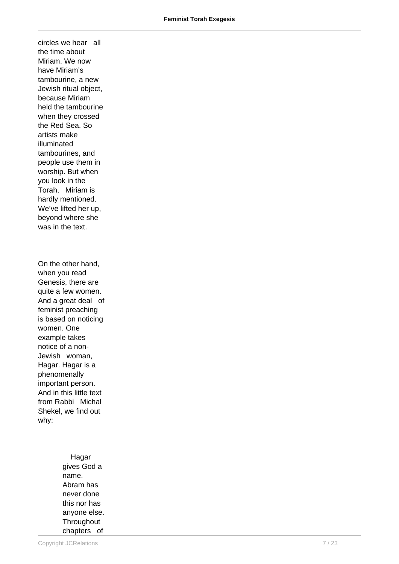circles we hear all the time about Miriam. We now have Miriam's tambourine, a new Jewish ritual object, because Miriam held the tambourine when they crossed the Red Sea. So artists make illuminated tambourines, and people use them in worship. But when you look in the Torah, Miriam is hardly mentioned. We've lifted her up, beyond where she was in the text.

On the other hand, when you read Genesis, there are quite a few women. And a great deal of feminist preaching is based on noticing women. One example takes notice of a non-Jewish woman, Hagar. Hagar is a phenomenally important person. And in this little text from Rabbi Michal Shekel, we find out why:

> Hagar gives God a name. Abram has never done this nor has anyone else. **Throughout** chapters of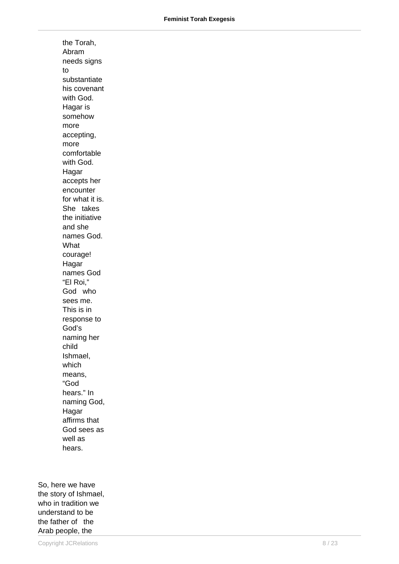the Torah, Abram needs signs to substantiate his covenant with God. Hagar is somehow more accepting, more comfortable with God. Hagar accepts her encounter for what it is. She takes the initiative and she names God. What courage! Hagar names God "El Roi," God who sees me. This is in response to God's naming her child Ishmael, which means, "God hears." In naming God, Hagar affirms that God sees as well as hears.

So, here we have the story of Ishmael, who in tradition we understand to be the father of the Arab people, the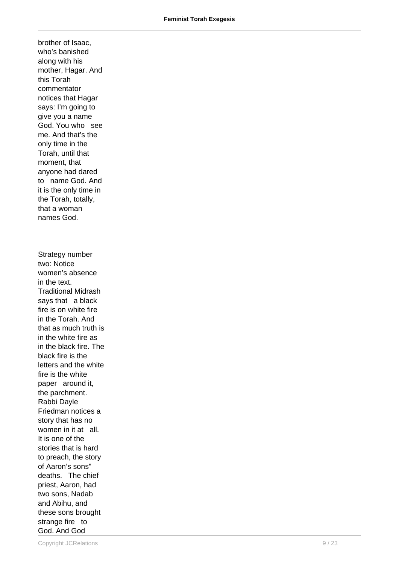brother of Isaac, who's banished along with his mother, Hagar. And this Torah commentator notices that Hagar says: I'm going to give you a name God. You who see me. And that's the only time in the Torah, until that moment, that anyone had dared to name God. And it is the only time in the Torah, totally, that a woman names God. Strategy number two: Notice women's absence in the text. Traditional Midrash says that a black fire is on white fire in the Torah. And that as much truth is in the white fire as in the black fire. The black fire is the letters and the white fire is the white paper around it, the parchment. Rabbi Dayle Friedman notices a story that has no women in it at all. It is one of the stories that is hard to preach, the story of Aaron's sons" deaths. The chief

priest, Aaron, had two sons, Nadab and Abihu, and these sons brought strange fire to God. And God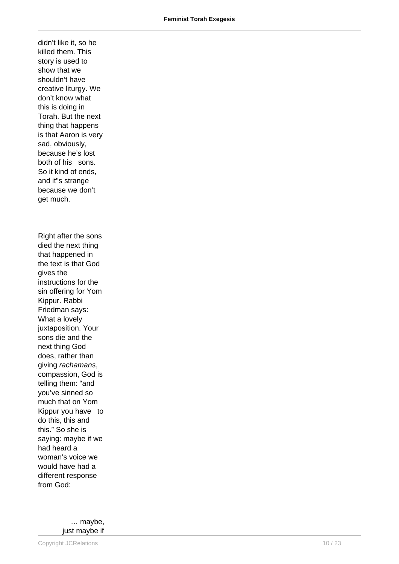didn't like it, so he killed them. This story is used to show that we shouldn't have creative liturgy. We don't know what this is doing in Torah. But the next thing that happens is that Aaron is very sad, obviously, because he's lost both of his sons. So it kind of ends, and it"s strange because we don't get much. Right after the sons died the next thing that happened in the text is that God gives the instructions for the sin offering for Yom Kippur. Rabbi Friedman says: What a lovely juxtaposition. Your sons die and the next thing God does, rather than giving rachamans, compassion, God is telling them: "and you've sinned so much that on Yom Kippur you have to do this, this and this." So she is saying: maybe if we had heard a woman's voice we would have had a different response from God:

> … maybe, just maybe if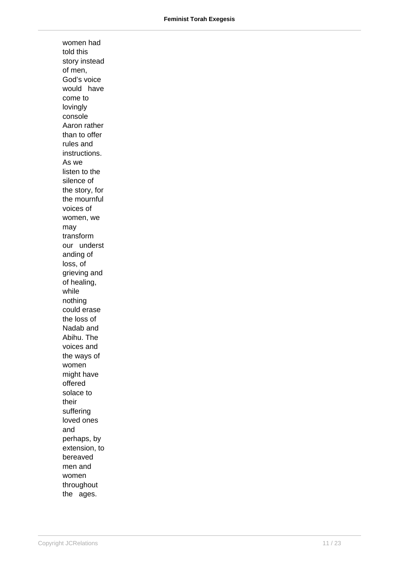women had told this story instead of men, God's voice would have come to lovingly console Aaron rather than to offer rules and instructions. As we listen to the silence of the story, for the mournful voices of women, we may transform our underst anding of loss, of grieving and of healing, while nothing could erase the loss of Nadab and Abihu. The voices and the ways of women might have offered solace to their suffering loved ones and perhaps, by extension, to bereaved men and women throughout the ages.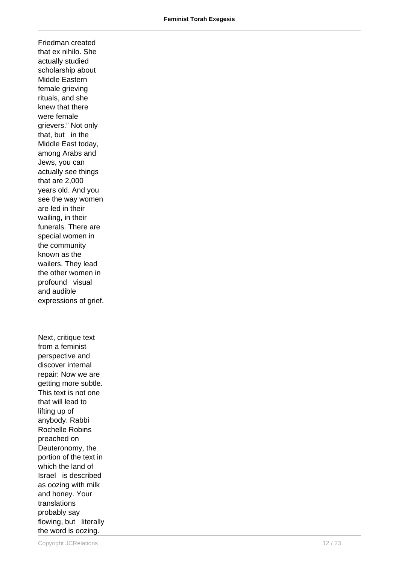Friedman created that ex nihilo. She actually studied scholarship about Middle Eastern female grieving rituals, and she knew that there were female grievers." Not only that, but in the Middle East today, among Arabs and Jews, you can actually see things that are 2,000 years old. And you see the way women are led in their wailing, in their funerals. There are special women in the community known as the wailers. They lead the other women in profound visual and audible expressions of grief.

Next, critique text from a feminist perspective and discover internal repair: Now we are getting more subtle. This text is not one that will lead to lifting up of anybody. Rabbi Rochelle Robins preached on Deuteronomy, the portion of the text in which the land of Israel is described as oozing with milk and honey. Your translations probably say flowing, but literally the word is oozing.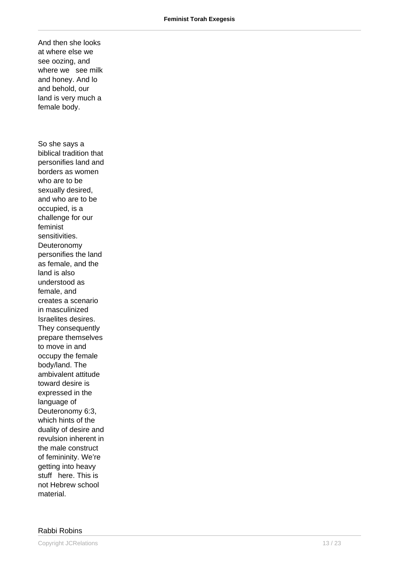And then she looks at where else we see oozing, and where we see milk and honey. And lo and behold, our land is very much a female body. So she says a biblical tradition that personifies land and borders as women who are to be sexually desired, and who are to be occupied, is a challenge for our feminist sensitivities. Deuteronomy personifies the land as female, and the land is also understood as female, and creates a scenario in masculinized Israelites desires. They consequently prepare themselves to move in and occupy the female body/land. The ambivalent attitude toward desire is expressed in the language of Deuteronomy 6:3, which hints of the duality of desire and revulsion inherent in the male construct of femininity. We're getting into heavy stuff here. This is not Hebrew school material.

## Rabbi Robins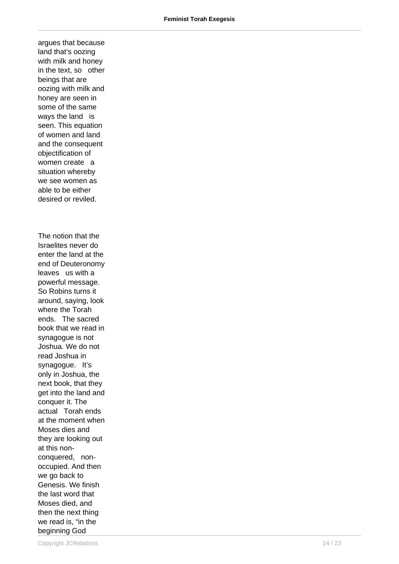argues that because land that's oozing with milk and honey in the text, so other beings that are oozing with milk and honey are seen in some of the same ways the land is seen. This equation of women and land and the consequent objectification of women create a situation whereby we see women as able to be either desired or reviled. The notion that the Israelites never do enter the land at the end of Deuteronomy leaves us with a powerful message. So Robins turns it around, saying, look where the Torah ends. The sacred book that we read in synagogue is not Joshua. We do not read Joshua in synagogue. It's only in Joshua, the next book, that they get into the land and conquer it. The actual Torah ends at the moment when Moses dies and they are looking out at this nonconquered, nonoccupied. And then we go back to Genesis. We finish the last word that Moses died, and then the next thing we read is, "in the beginning God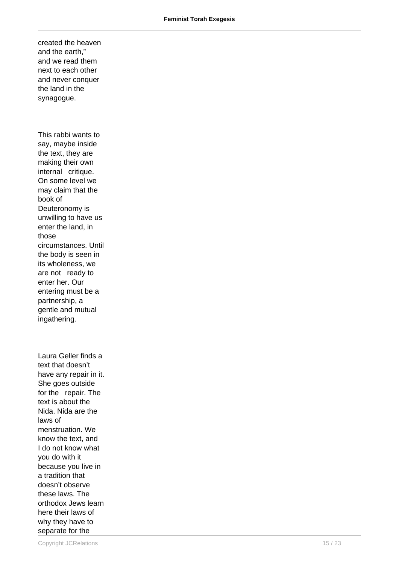created the heaven and the earth," and we read them next to each other and never conquer the land in the synagogue.

This rabbi wants to say, maybe inside the text, they are making their own internal critique. On some level we may claim that the book of Deuteronomy is unwilling to have us enter the land, in those circumstances. Until the body is seen in its wholeness, we are not ready to enter her. Our entering must be a partnership, a gentle and mutual ingathering.

Laura Geller finds a text that doesn't have any repair in it. She goes outside for the repair. The text is about the Nida. Nida are the laws of menstruation. We know the text, and I do not know what you do with it because you live in a tradition that doesn't observe these laws. The orthodox Jews learn here their laws of why they have to separate for the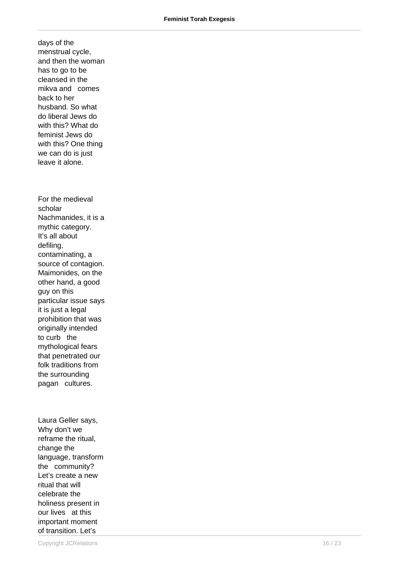days of the menstrual cycle, and then the woman has to go to be cleansed in the mikva and comes back to her husband. So what do liberal Jews do with this? What do feminist Jews do with this? One thing we can do is just leave it alone. For the medieval scholar Nachmanides, it is a mythic category. It's all about defiling, contaminating, a source of contagion. Maimonides, on the other hand, a good guy on this particular issue says it is just a legal prohibition that was originally intended to curb the mythological fears that penetrated our folk traditions from the surrounding pagan cultures.

Laura Geller says, Why don't we reframe the ritual, change the language, transform the community? Let's create a new ritual that will celebrate the holiness present in our lives at this important moment of transition. Let's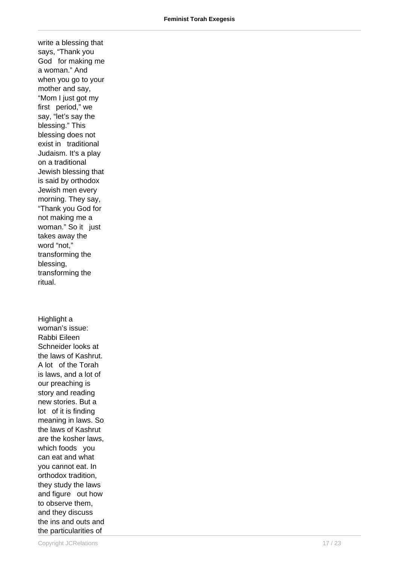write a blessing that says, "Thank you God for making me a woman." And when you go to your mother and say, "Mom I just got my first period," we say, "let's say the blessing." This blessing does not exist in traditional Judaism. It's a play on a traditional Jewish blessing that is said by orthodox Jewish men every morning. They say, "Thank you God for not making me a woman." So it just takes away the word "not," transforming the blessing, transforming the ritual. Highlight a woman's issue: Rabbi Eileen

Schneider looks at the laws of Kashrut. A lot of the Torah is laws, and a lot of our preaching is story and reading new stories. But a lot of it is finding meaning in laws. So the laws of Kashrut are the kosher laws, which foods you can eat and what you cannot eat. In orthodox tradition, they study the laws and figure out how to observe them, and they discuss the ins and outs and the particularities of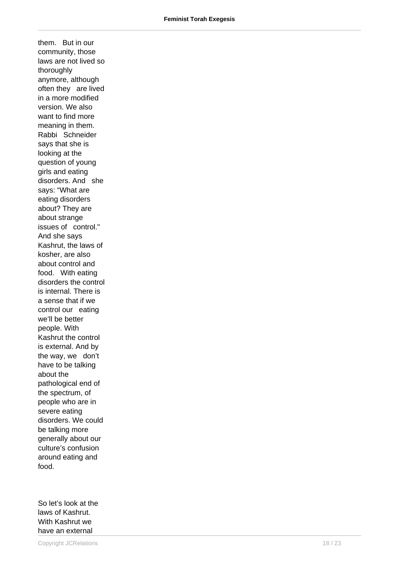them. But in our community, those laws are not lived so thoroughly anymore, although often they are lived in a more modified version. We also want to find more meaning in them. Rabbi Schneider says that she is looking at the question of young girls and eating disorders. And she says: "What are eating disorders about? They are about strange issues of control." And she says Kashrut, the laws of kosher, are also about control and food. With eating disorders the control is internal. There is a sense that if we control our eating we'll be better people. With Kashrut the control is external. And by the way, we don't have to be talking about the pathological end of the spectrum, of people who are in severe eating disorders. We could be talking more generally about our culture's confusion around eating and food.

So let's look at the laws of Kashrut. With Kashrut we have an external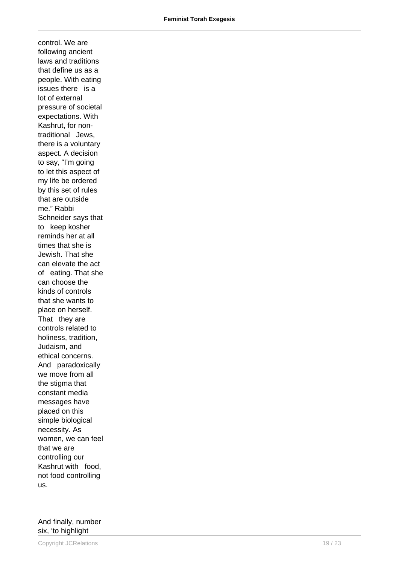control. We are following ancient laws and traditions that define us as a people. With eating issues there is a lot of external pressure of societal expectations. With Kashrut, for nontraditional Jews, there is a voluntary aspect. A decision to say, "I'm going to let this aspect of my life be ordered by this set of rules that are outside me." Rabbi Schneider says that to keep kosher reminds her at all times that she is Jewish. That she can elevate the act of eating. That she can choose the kinds of controls that she wants to place on herself. That they are controls related to holiness, tradition, Judaism, and ethical concerns. And paradoxically we move from all the stigma that constant media messages have placed on this simple biological necessity. As women, we can feel that we are controlling our Kashrut with food, not food controlling us.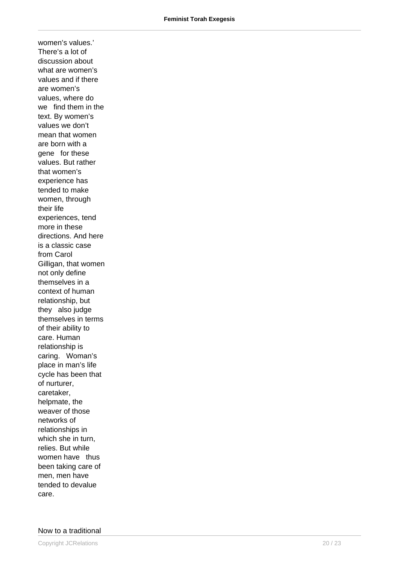women's values.' There's a lot of discussion about what are women's values and if there are women's values, where do we find them in the text. By women's values we don't mean that women are born with a gene for these values. But rather that women's experience has tended to make women, through their life experiences, tend more in these directions. And here is a classic case from Carol Gilligan, that women not only define themselves in a context of human relationship, but they also judge themselves in terms of their ability to care. Human relationship is caring. Woman's place in man's life cycle has been that of nurturer, caretaker, helpmate, the weaver of those networks of relationships in which she in turn, relies. But while women have thus been taking care of men, men have tended to devalue care.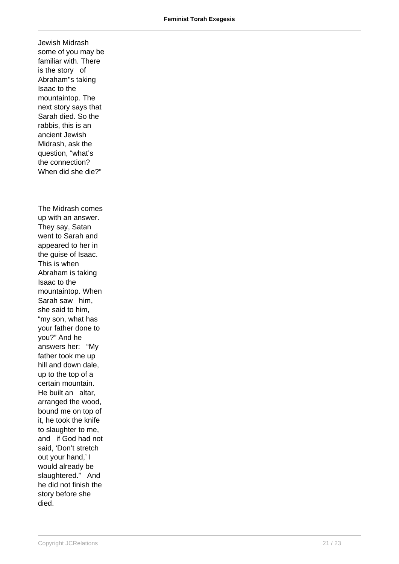Jewish Midrash some of you may be familiar with. There is the story of Abraham"s taking Isaac to the mountaintop. The next story says that Sarah died. So the rabbis, this is an ancient Jewish Midrash, ask the question, "what's the connection? When did she die?" The Midrash comes up with an answer. They say, Satan went to Sarah and appeared to her in the guise of Isaac. This is when Abraham is taking Isaac to the mountaintop. When Sarah saw him, she said to him, "my son, what has your father done to you?" And he answers her: "My father took me up hill and down dale, up to the top of a certain mountain. He built an altar, arranged the wood, bound me on top of it, he took the knife to slaughter to me, and if God had not said, 'Don't stretch out your hand,' I would already be slaughtered." And he did not finish the story before she died.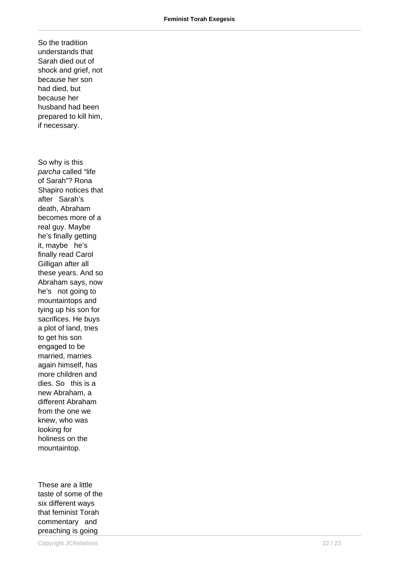So the tradition understands that Sarah died out of shock and grief, not because her son had died, but because her husband had been prepared to kill him, if necessary. So why is this parcha called "life of Sarah"? Rona Shapiro notices that after Sarah's death, Abraham becomes more of a real guy. Maybe he's finally getting it, maybe he's finally read Carol Gilligan after all these years. And so Abraham says, now he's not going to mountaintops and tying up his son for sacrifices. He buys a plot of land, tries to get his son engaged to be married, marries again himself, has more children and dies. So this is a new Abraham, a different Abraham from the one we knew, who was looking for holiness on the mountaintop.

These are a little taste of some of the six different ways that feminist Torah commentary and preaching is going